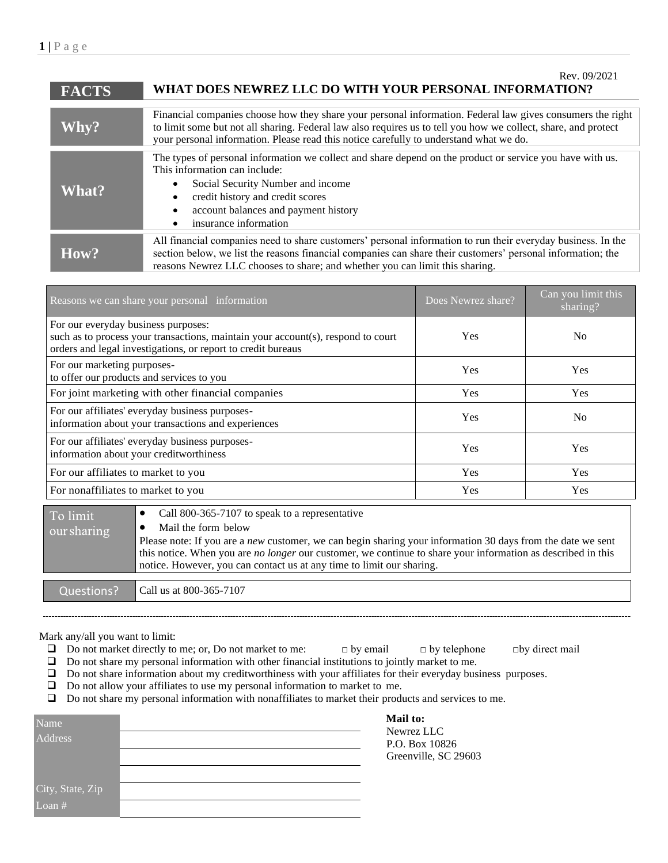| <b>FACTS</b> | Rev. 09/2021<br>WHAT DOES NEWREZ LLC DO WITH YOUR PERSONAL INFORMATION?                                                                                                                                                                                                                                                |
|--------------|------------------------------------------------------------------------------------------------------------------------------------------------------------------------------------------------------------------------------------------------------------------------------------------------------------------------|
| Why?         | Financial companies choose how they share your personal information. Federal law gives consumers the right<br>to limit some but not all sharing. Federal law also requires us to tell you how we collect, share, and protect<br>your personal information. Please read this notice carefully to understand what we do. |
| <b>What?</b> | The types of personal information we collect and share depend on the product or service you have with us.<br>This information can include:<br>Social Security Number and income<br>credit history and credit scores<br>account balances and payment history<br>insurance information                                   |
| How?         | All financial companies need to share customers' personal information to run their everyday business. In the<br>section below, we list the reasons financial companies can share their customers' personal information; the<br>reasons Newrez LLC chooses to share; and whether you can limit this sharing.            |

| Reasons we can share your personal information                                                                                                                                          | Does Newrez share? | Can you limit this<br>sharing? |
|-----------------------------------------------------------------------------------------------------------------------------------------------------------------------------------------|--------------------|--------------------------------|
| For our everyday business purposes:<br>such as to process your transactions, maintain your account(s), respond to court<br>orders and legal investigations, or report to credit bureaus | Yes                | N <sub>0</sub>                 |
| For our marketing purposes-<br>to offer our products and services to you                                                                                                                | Yes                | <b>Yes</b>                     |
| For joint marketing with other financial companies                                                                                                                                      | <b>Yes</b>         | <b>Yes</b>                     |
| For our affiliates' everyday business purposes-<br>information about your transactions and experiences                                                                                  | Yes                | N <sub>0</sub>                 |
| For our affiliates' everyday business purposes-<br>information about your creditworthiness                                                                                              | Yes                | <b>Yes</b>                     |
| For our affiliates to market to you                                                                                                                                                     | Yes                | Yes                            |
| For nonaffiliates to market to you                                                                                                                                                      | Yes                | <b>Yes</b>                     |

| To limit<br>our sharing | Call 800-365-7107 to speak to a representative<br>Mail the form below<br>Please note: If you are a new customer, we can begin sharing your information 30 days from the date we sent<br>this notice. When you are <i>no longer</i> our customer, we continue to share your information as described in this<br>notice. However, you can contact us at any time to limit our sharing. |
|-------------------------|--------------------------------------------------------------------------------------------------------------------------------------------------------------------------------------------------------------------------------------------------------------------------------------------------------------------------------------------------------------------------------------|
| Questions?              | Call us at 800-365-7107                                                                                                                                                                                                                                                                                                                                                              |

Mark any/all you want to limit:

- ❑ Do not market directly to me; or, Do not market to me: □ by email □ by telephone □by direct mail
- ❑ Do not share my personal information with other financial institutions to jointly market to me.
- ❑ Do not share information about my creditworthiness with your affiliates for their everyday business purposes.
- ❑ Do not allow your affiliates to use my personal information to market to me.

❑ Do not share my personal information with nonaffiliates to market their products and services to me.

| Name             | ١ |
|------------------|---|
| Address          |   |
|                  |   |
|                  |   |
| City, State, Zip |   |
| Loan $#$         |   |

**Mail to:** Newrez LLC P.O. Box 10826 Greenville, SC 29603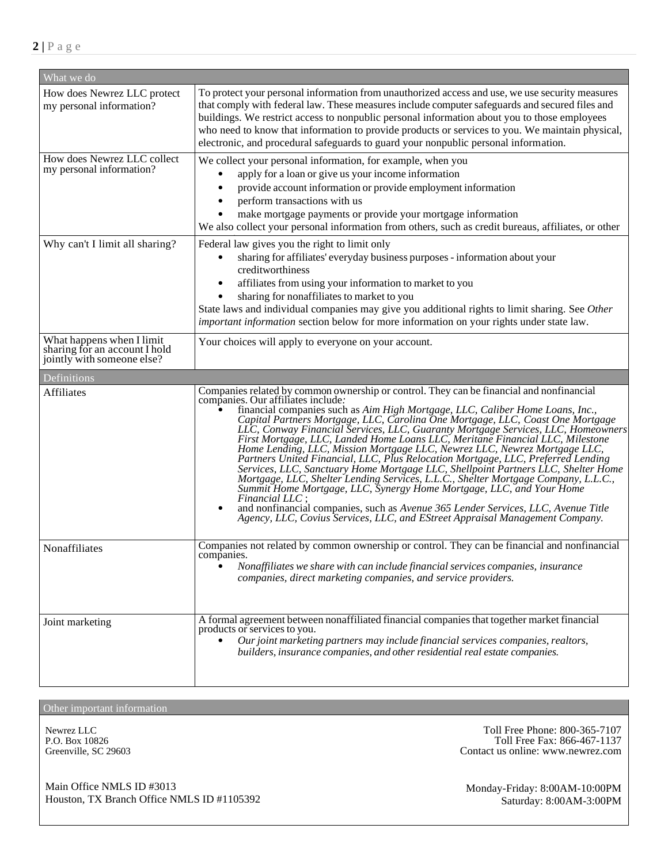| What we do                                                                               |                                                                                                                                                                                                                                                                                                                                                                                                                                                                                                                                                                                                                                                                                                                                                                                                                                                                                                                                                                                                                                                                                    |  |  |  |
|------------------------------------------------------------------------------------------|------------------------------------------------------------------------------------------------------------------------------------------------------------------------------------------------------------------------------------------------------------------------------------------------------------------------------------------------------------------------------------------------------------------------------------------------------------------------------------------------------------------------------------------------------------------------------------------------------------------------------------------------------------------------------------------------------------------------------------------------------------------------------------------------------------------------------------------------------------------------------------------------------------------------------------------------------------------------------------------------------------------------------------------------------------------------------------|--|--|--|
| How does Newrez LLC protect<br>my personal information?                                  | To protect your personal information from unauthorized access and use, we use security measures<br>that comply with federal law. These measures include computer safeguards and secured files and<br>buildings. We restrict access to nonpublic personal information about you to those employees<br>who need to know that information to provide products or services to you. We maintain physical,<br>electronic, and procedural safeguards to guard your nonpublic personal information.                                                                                                                                                                                                                                                                                                                                                                                                                                                                                                                                                                                        |  |  |  |
| How does Newrez LLC collect<br>my personal information?                                  | We collect your personal information, for example, when you<br>apply for a loan or give us your income information<br>provide account information or provide employment information<br>perform transactions with us<br>make mortgage payments or provide your mortgage information<br>We also collect your personal information from others, such as credit bureaus, affiliates, or other                                                                                                                                                                                                                                                                                                                                                                                                                                                                                                                                                                                                                                                                                          |  |  |  |
| Why can't I limit all sharing?                                                           | Federal law gives you the right to limit only<br>sharing for affiliates' everyday business purposes - information about your<br>creditworthiness<br>affiliates from using your information to market to you<br>sharing for nonaffiliates to market to you<br>State laws and individual companies may give you additional rights to limit sharing. See Other<br>important information section below for more information on your rights under state law.                                                                                                                                                                                                                                                                                                                                                                                                                                                                                                                                                                                                                            |  |  |  |
| What happens when I limit<br>sharing for an account I hold<br>jointly with someone else? | Your choices will apply to everyone on your account.                                                                                                                                                                                                                                                                                                                                                                                                                                                                                                                                                                                                                                                                                                                                                                                                                                                                                                                                                                                                                               |  |  |  |
| Definitions                                                                              |                                                                                                                                                                                                                                                                                                                                                                                                                                                                                                                                                                                                                                                                                                                                                                                                                                                                                                                                                                                                                                                                                    |  |  |  |
| Affiliates                                                                               | Companies related by common ownership or control. They can be financial and nonfinancial<br>companies. Our affiliates include:<br>financial companies such as Aim High Mortgage, LLC, Caliber Home Loans, Inc.,<br>Capital Partners Mortgage, LLC, Carolina One Mortgage, LLC, Coast One Mortgage<br>LLC, Conway Financial Services, LLC, Guaranty Mortgage Services, LLC, Homeowners<br>First Mortgage, LLC, Landed Home Loans LLC, Meritane Financial LLC, Milestone<br>Home Lending, LLC, Mission Mortgage LLC, Newrez LLC, Newrez Mortgage LLC,<br>Partners United Financial, LLC, Plus Relocation Mortgage, LLC, Preferred Lending<br>Services, LLC, Sanctuary Home Mortgage LLC, Shellpoint Partners LLC, Shelter Home<br>Mortgage, LLC, Shelter Lending Services, L.L.C., Shelter Mortgage Company, L.L.C.,<br>Summit Home Mortgage, LLC, Synergy Home Mortgage, LLC, and Your Home<br>Financial LLC :<br>and nonfinancial companies, such as Avenue 365 Lender Services, LLC, Avenue Title<br>Agency, LLC, Covius Services, LLC, and EStreet Appraisal Management Company. |  |  |  |
| Nonaffiliates                                                                            | Companies not related by common ownership or control. They can be financial and nonfinancial<br>companies.<br>Nonaffiliates we share with can include financial services companies, insurance<br>companies, direct marketing companies, and service providers.                                                                                                                                                                                                                                                                                                                                                                                                                                                                                                                                                                                                                                                                                                                                                                                                                     |  |  |  |
| Joint marketing                                                                          | A formal agreement between nonaffiliated financial companies that together market financial<br>products or services to you.<br>Our joint marketing partners may include financial services companies, realtors,<br>builders, insurance companies, and other residential real estate companies.                                                                                                                                                                                                                                                                                                                                                                                                                                                                                                                                                                                                                                                                                                                                                                                     |  |  |  |

Other important information

Newrez LLC  $\qquad \qquad$  Toll Free Phone: 800-365-7107 P.O. Box 10826 Toll Free Fax: 866-467-1137 P.O. Box 10826 Toll Free Fax: 866-467-1137<br>Greenville, SC 29603 Contact us online: www.newrez.com

Main Office NMLS ID #3013 Monday-Friday: 8:00AM-10:00PM Houston, TX Branch Office NMLS ID #1105392 Saturday: 8:00AM-3:00PM